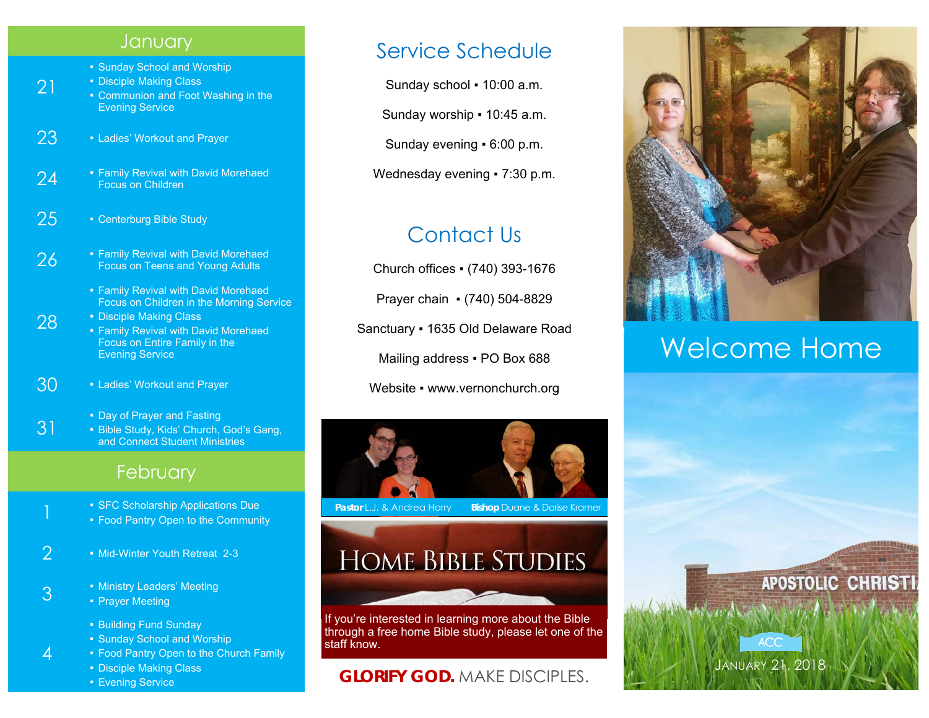#### **January**

- Sunday School and Worship
- **Disciple Making Class**
- Communion and Foot Washing in the Evening Service
- 23 Ladies' Workout and Prayer

21

28

4

- 24 **Family Revival with David Morehaed Focus on Children**
- 25 Centerburg Bible Study
- **26** Family Revival with David Morehaed Focus on Teens and Young Adults
	- Family Revival with David Morehaed Focus on Children in the Morning Service
	- Disciple Making Class ■ Family Revival with David Morehaed Focus on Entire Family in the Evening Service
- 30 Ladies' Workout and Prayer
	- Day of Prayer and Fasting
- 31 **Bible Study, Kids' Church, God's Gang,** and Connect Student Ministries

### **February**

- SFC Scholarship Applications Due
	- **Food Pantry Open to the Community**
- 2 Mid-Winter Youth Retreat 2-3

#### 3 **• Ministry Leaders' Meeting** • Prayer Meeting

- Building Fund Sunday
- **Sunday School and Worship**
- Food Pantry Open to the Church Family
	- Disciple Making Class
- **Evening Service**

## Service Schedule

Sunday school ▪ 10:00 a.m.

Sunday worship ▪ 10:45 a.m.

Sunday evening ▪ 6:00 p.m.

Wednesday evening • 7:30 p.m.

## Contact Us

Church offices ▪ (740) 393-1676

Prayer chain ▪ (740) 504-8829

Sanctuary ▪ 1635 Old Delaware Road

Mailing address . PO Box 688

Website • www.vernonchurch.org



**Pastor L.J. & Andrea Harry Bishop Duane & Dorise Kramer** 

## **HOME BIBLE STUDIES**

If you're interested in learning more about the Bible through a free home Bible study, please let one of the staff know.

## **GLORIFY GOD.** MAKE DISCIPLES.



## Welcome Home

JANUARY 21, 2018

**ACC**